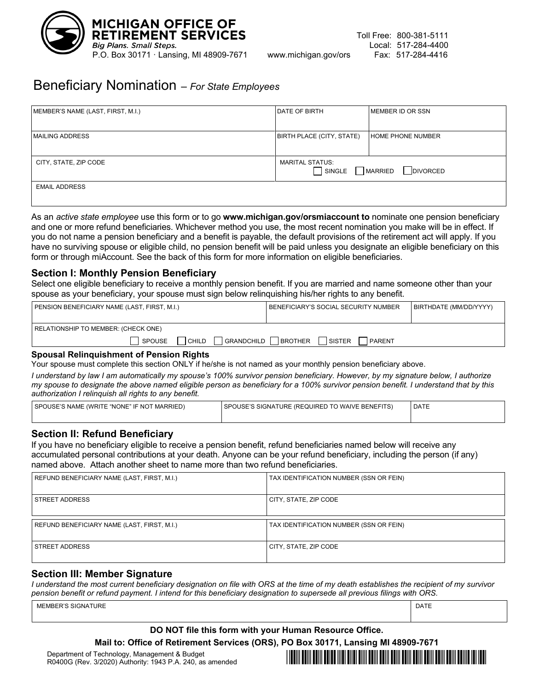

# Beneficiary Nomination – *For State Employees*

| MEMBER'S NAME (LAST, FIRST, M.I.) | DATE OF BIRTH                                                  | MEMBER ID OR SSN         |
|-----------------------------------|----------------------------------------------------------------|--------------------------|
| <b>MAILING ADDRESS</b>            | BIRTH PLACE (CITY, STATE)                                      | <b>HOME PHONE NUMBER</b> |
| CITY, STATE, ZIP CODE             | <b>MARITAL STATUS:</b><br><b>DIVORCED</b><br>SINGLE<br>MARRIED |                          |
| <b>EMAIL ADDRESS</b>              |                                                                |                          |

As an *active state employee* use this form or to go **www.michigan.gov/orsmiaccount to** nominate one pension beneficiary and one or more refund beneficiaries. Whichever method you use, the most recent nomination you make will be in effect. If you do not name a pension beneficiary and a benefit is payable, the default provisions of the retirement act will apply. If you have no surviving spouse or eligible child, no pension benefit will be paid unless you designate an eligible beneficiary on this form or through miAccount. See the back of this form for more information on eligible beneficiaries.

#### **Section I: Monthly Pension Beneficiary**

Select one eligible beneficiary to receive a monthly pension benefit. If you are married and name someone other than your spouse as your beneficiary, your spouse must sign below relinquishing his/her rights to any benefit.

| <b>PENSION BENEFICIARY NAME (LAST, FIRST, M.I.)</b> | BENEFICIARY'S SOCIAL SECURITY NUMBER        | BIRTHDATE (MM/DD/YYYY) |
|-----------------------------------------------------|---------------------------------------------|------------------------|
| RELATIONSHIP TO MEMBER: (CHECK ONE)                 |                                             |                        |
| GRANDCHILD  <br>SPOUSE<br>CHILD                     | BROTHER<br><b>SISTER</b><br><b>I PARENT</b> |                        |

#### **Spousal Relinquishment of Pension Rights**

Your spouse must complete this section ONLY if he/she is not named as your monthly pension beneficiary above.

*I understand by law I am automatically my spouse's 100% survivor pension beneficiary. However, by my signature below, I authorize my spouse to designate the above named eligible person as beneficiary for a 100% survivor pension benefit. I understand that by this authorization I relinquish all rights to any benefit.*

| SPOUSE'S NAME (WRITE "NONE" IF NOT MARRIED) | I SPOUSE'S SIGNATURE (REQUIRED TO WAIVE BENEFITS) | DATE |
|---------------------------------------------|---------------------------------------------------|------|
|                                             |                                                   |      |

#### **Section II: Refund Beneficiary**

If you have no beneficiary eligible to receive a pension benefit, refund beneficiaries named below will receive any accumulated personal contributions at your death. Anyone can be your refund beneficiary, including the person (if any) named above. Attach another sheet to name more than two refund beneficiaries.

| REFUND BENEFICIARY NAME (LAST, FIRST, M.I.) | TAX IDENTIFICATION NUMBER (SSN OR FEIN) |
|---------------------------------------------|-----------------------------------------|
| <b>STREET ADDRESS</b>                       | CITY, STATE, ZIP CODE                   |
|                                             |                                         |
| REFUND BENEFICIARY NAME (LAST, FIRST, M.I.) | TAX IDENTIFICATION NUMBER (SSN OR FEIN) |

#### **Section III: Member Signature**

*I understand the most current beneficiary designation on file with ORS at the time of my death establishes the recipient of my survivor pension benefit or refund payment. I intend for this beneficiary designation to supersede all previous filings with ORS.*

MEMBER'S SIGNATURE **DATE** 

#### **DO NOT file this form with your Human Resource Office.**

**Mail to: Office of Retirement Services (ORS), PO Box 30171, Lansing MI 48909-7671**